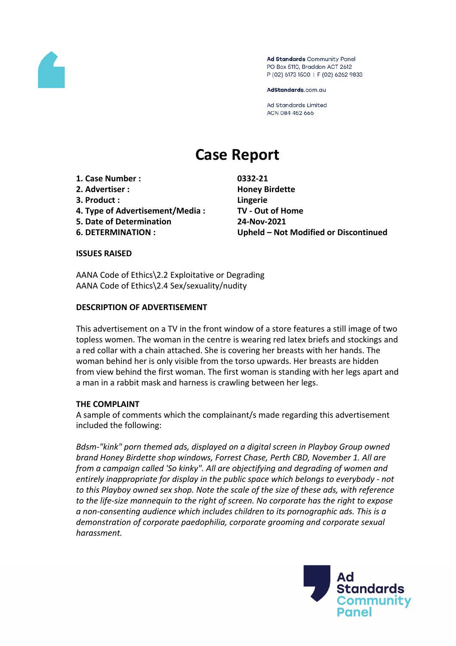

Ad Standards Community Panel PO Box 5110, Braddon ACT 2612 P (02) 6173 1500 | F (02) 6262 9833

AdStandards.com.au

**Ad Standards Limited** ACN 084 452 666

# **Case Report**

- **1. Case Number : 0332-21**
- **2. Advertiser : Honey Birdette**
- **3. Product : Lingerie**
- **4. Type of Advertisement/Media : TV - Out of Home**
- **5. Date of Determination 24-Nov-2021**
- 

**6. DETERMINATION : Upheld – Not Modified or Discontinued**

#### **ISSUES RAISED**

AANA Code of Ethics\2.2 Exploitative or Degrading AANA Code of Ethics\2.4 Sex/sexuality/nudity

#### **DESCRIPTION OF ADVERTISEMENT**

This advertisement on a TV in the front window of a store features a still image of two topless women. The woman in the centre is wearing red latex briefs and stockings and a red collar with a chain attached. She is covering her breasts with her hands. The woman behind her is only visible from the torso upwards. Her breasts are hidden from view behind the first woman. The first woman is standing with her legs apart and a man in a rabbit mask and harness is crawling between her legs.

#### **THE COMPLAINT**

A sample of comments which the complainant/s made regarding this advertisement included the following:

*Bdsm-"kink" porn themed ads, displayed on a digital screen in Playboy Group owned brand Honey Birdette shop windows, Forrest Chase, Perth CBD, November 1. All are from a campaign called 'So kinky". All are objectifying and degrading of women and entirely inappropriate for display in the public space which belongs to everybody - not to this Playboy owned sex shop. Note the scale of the size of these ads, with reference to the life-size mannequin to the right of screen. No corporate has the right to expose a non-consenting audience which includes children to its pornographic ads. This is a demonstration of corporate paedophilia, corporate grooming and corporate sexual harassment.*

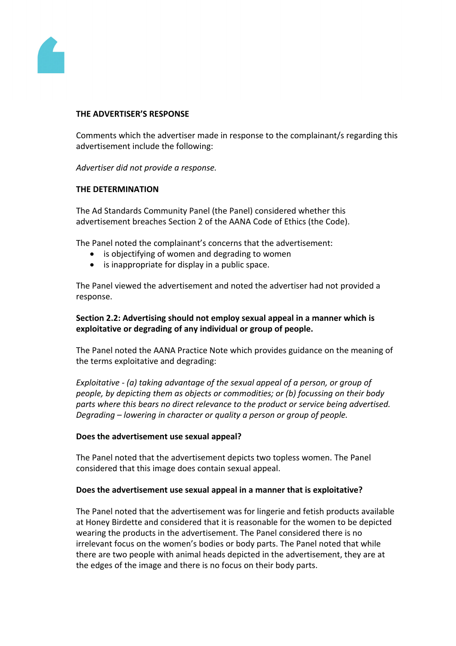

#### **THE ADVERTISER'S RESPONSE**

Comments which the advertiser made in response to the complainant/s regarding this advertisement include the following:

*Advertiser did not provide a response.*

#### **THE DETERMINATION**

The Ad Standards Community Panel (the Panel) considered whether this advertisement breaches Section 2 of the AANA Code of Ethics (the Code).

The Panel noted the complainant's concerns that the advertisement:

- is objectifying of women and degrading to women
- is inappropriate for display in a public space.

The Panel viewed the advertisement and noted the advertiser had not provided a response.

# **Section 2.2: Advertising should not employ sexual appeal in a manner which is exploitative or degrading of any individual or group of people.**

The Panel noted the AANA Practice Note which provides guidance on the meaning of the terms exploitative and degrading:

*Exploitative - (a) taking advantage of the sexual appeal of a person, or group of people, by depicting them as objects or commodities; or (b) focussing on their body parts where this bears no direct relevance to the product or service being advertised. Degrading – lowering in character or quality a person or group of people.*

## **Does the advertisement use sexual appeal?**

The Panel noted that the advertisement depicts two topless women. The Panel considered that this image does contain sexual appeal.

#### **Does the advertisement use sexual appeal in a manner that is exploitative?**

The Panel noted that the advertisement was for lingerie and fetish products available at Honey Birdette and considered that it is reasonable for the women to be depicted wearing the products in the advertisement. The Panel considered there is no irrelevant focus on the women's bodies or body parts. The Panel noted that while there are two people with animal heads depicted in the advertisement, they are at the edges of the image and there is no focus on their body parts.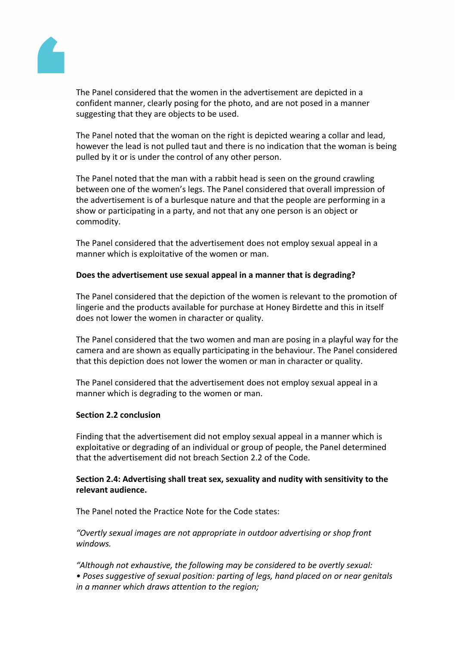

The Panel considered that the women in the advertisement are depicted in a confident manner, clearly posing for the photo, and are not posed in a manner suggesting that they are objects to be used.

The Panel noted that the woman on the right is depicted wearing a collar and lead, however the lead is not pulled taut and there is no indication that the woman is being pulled by it or is under the control of any other person.

The Panel noted that the man with a rabbit head is seen on the ground crawling between one of the women's legs. The Panel considered that overall impression of the advertisement is of a burlesque nature and that the people are performing in a show or participating in a party, and not that any one person is an object or commodity.

The Panel considered that the advertisement does not employ sexual appeal in a manner which is exploitative of the women or man.

## **Does the advertisement use sexual appeal in a manner that is degrading?**

The Panel considered that the depiction of the women is relevant to the promotion of lingerie and the products available for purchase at Honey Birdette and this in itself does not lower the women in character or quality.

The Panel considered that the two women and man are posing in a playful way for the camera and are shown as equally participating in the behaviour. The Panel considered that this depiction does not lower the women or man in character or quality.

The Panel considered that the advertisement does not employ sexual appeal in a manner which is degrading to the women or man.

#### **Section 2.2 conclusion**

Finding that the advertisement did not employ sexual appeal in a manner which is exploitative or degrading of an individual or group of people, the Panel determined that the advertisement did not breach Section 2.2 of the Code.

## **Section 2.4: Advertising shall treat sex, sexuality and nudity with sensitivity to the relevant audience.**

The Panel noted the Practice Note for the Code states:

*"Overtly sexual images are not appropriate in outdoor advertising or shop front windows.*

*"Although not exhaustive, the following may be considered to be overtly sexual: • Poses suggestive of sexual position: parting of legs, hand placed on or near genitals in a manner which draws attention to the region;*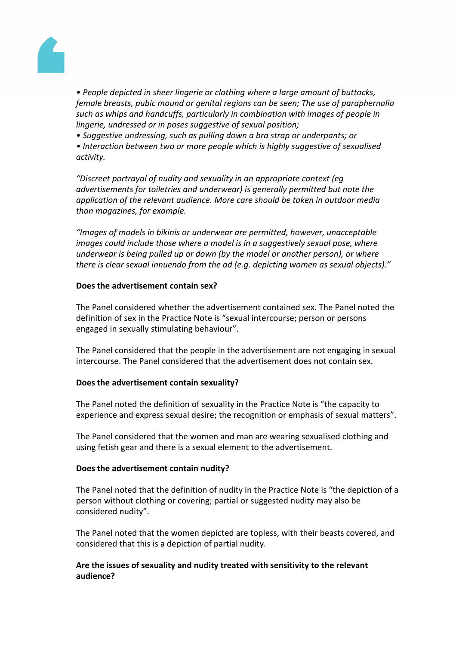

*• People depicted in sheer lingerie or clothing where a large amount of buttocks, female breasts, pubic mound or genital regions can be seen; The use of paraphernalia such as whips and handcuffs, particularly in combination with images of people in lingerie, undressed or in poses suggestive of sexual position;*

*• Suggestive undressing, such as pulling down a bra strap or underpants; or*

*• Interaction between two or more people which is highly suggestive of sexualised activity.*

*"Discreet portrayal of nudity and sexuality in an appropriate context (eg advertisements for toiletries and underwear) is generally permitted but note the application of the relevant audience. More care should be taken in outdoor media than magazines, for example.*

*"Images of models in bikinis or underwear are permitted, however, unacceptable images could include those where a model is in a suggestively sexual pose, where underwear is being pulled up or down (by the model or another person), or where there is clear sexual innuendo from the ad (e.g. depicting women as sexual objects)."*

## **Does the advertisement contain sex?**

The Panel considered whether the advertisement contained sex. The Panel noted the definition of sex in the Practice Note is "sexual intercourse; person or persons engaged in sexually stimulating behaviour".

The Panel considered that the people in the advertisement are not engaging in sexual intercourse. The Panel considered that the advertisement does not contain sex.

## **Does the advertisement contain sexuality?**

The Panel noted the definition of sexuality in the Practice Note is "the capacity to experience and express sexual desire; the recognition or emphasis of sexual matters".

The Panel considered that the women and man are wearing sexualised clothing and using fetish gear and there is a sexual element to the advertisement.

# **Does the advertisement contain nudity?**

The Panel noted that the definition of nudity in the Practice Note is "the depiction of a person without clothing or covering; partial or suggested nudity may also be considered nudity".

The Panel noted that the women depicted are topless, with their beasts covered, and considered that this is a depiction of partial nudity.

# **Are the issues of sexuality and nudity treated with sensitivity to the relevant audience?**